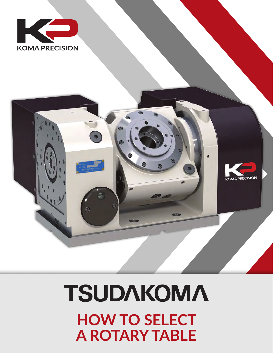# **TSUDAKOMA HOW TO SELECT A ROTARY TABLE**



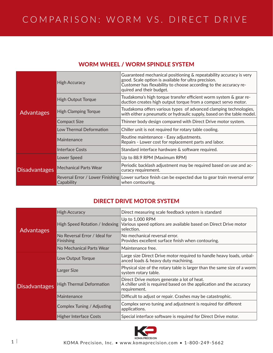## COMPARISON: WORM VS. DIRECT DRIVE

| <b>Advantages</b>    | <b>High Accuracy</b>                           | Guaranteed mechanical positioning & repeatability accuracy is very<br>good. Scale option is available for ultra precision.<br>Customer has flexability to choose according to the accuracy re-<br>quired and their budget. |
|----------------------|------------------------------------------------|----------------------------------------------------------------------------------------------------------------------------------------------------------------------------------------------------------------------------|
|                      | <b>High Output Torque</b>                      | Tsudakoma's high torque transfer efficient worm system & gear re-<br>duction creates high output torque from a compact servo motor.                                                                                        |
|                      | <b>High Clamping Torque</b>                    | Tsudakoma offers various types of advanced clamping technologies,<br>with either a pneumatic or hydraulic supply, based on the table model.                                                                                |
|                      | <b>Compact Size</b>                            | Thinner body design compared with Direct Drive motor system.                                                                                                                                                               |
|                      | Low Thermal Deformation                        | Chiller unit is not required for rotary table cooling.                                                                                                                                                                     |
|                      | Maintenance                                    | Routine maintenance - Easy adjustments.<br>Repairs - Lower cost for replacement parts and labor.                                                                                                                           |
|                      | Interface Costs                                | Standard interface hardware & software required.                                                                                                                                                                           |
| <b>Disadvantages</b> | Lower Speed                                    | Up to 88.9 RPM (Maximum RPM)                                                                                                                                                                                               |
|                      | <b>Mechanical Parts Wear</b>                   | Periodic backlash adjustment may be required based on use and ac-<br>curacy requirement.                                                                                                                                   |
|                      | Reversal Error / Lower Finishing<br>Capability | Lower surface finish can be expected due to gear train reversal error<br>when contouring.                                                                                                                                  |

### DIRECT DRIVE MOTOR SYSTEM

| <b>Advantages</b>    | <b>High Accuracy</b>                       | Direct measuring scale feedback system is standard                                                                                  |
|----------------------|--------------------------------------------|-------------------------------------------------------------------------------------------------------------------------------------|
|                      | High Speed Rotation / Indexing             | Up to 1,000 RPM<br>Various speed options are available based on Direct Drive motor<br>selection.                                    |
|                      | No Reversal Error / Ideal for<br>Finishing | No mechanical reversal error.<br>Provides excellent surface finish when contouring.                                                 |
|                      | No Mechanical Parts Wear                   | Maintenance free.                                                                                                                   |
| <b>Disadvantages</b> | Low Output Torque                          | Large size Direct Drive motor required to handle heavy loads, unbal-<br>anced loads & heavy duty machining.                         |
|                      | Larger Size                                | Physical size of the rotary table is larger than the same size of a worm<br>system rotary table.                                    |
|                      | <b>High Thermal Deformation</b>            | Direct Drive motors generate a lot of heat.<br>A chiller unit is required based on the application and the accuracy<br>requirement. |
|                      | Maintenance                                | Difficult to adjust or repair. Crashes may be catastrophic.                                                                         |
|                      | Complex Tuning / Adjusting                 | Complex servo tuning and adjustment is required for different<br>applications.                                                      |
|                      | <b>Higher Interface Costs</b>              | Special interface software is required for Direct Drive motor.                                                                      |

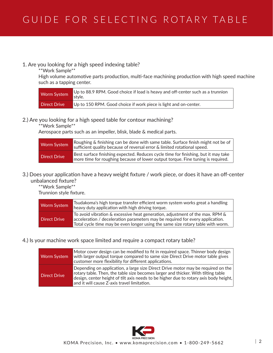#### 1. Are you looking for a high speed indexing table?

\*\*Work Sample\*\*

High volume automotive parts production, multi-face machining production with high speed machine such as a tapping center.

| Worm System  | Up to 88.9 RPM. Good choice if load is heavy and off-center such as a trunnion<br>style. |
|--------------|------------------------------------------------------------------------------------------|
| Direct Drive | Up to 150 RPM. Good choice if work piece is light and on-center.                         |

#### 2.) Are you looking for a high speed table for contour machining?

\*\*Work Sample\*\*

Aerospace parts such as an impeller, blisk, blade & medical parts.

| <b>Worm System</b> | Roughing & finishing can be done with same table. Surface finish might not be of<br>sufficient quality because of reversal error & limited rotational speed.          |
|--------------------|-----------------------------------------------------------------------------------------------------------------------------------------------------------------------|
| Direct Drive       | Best surface finishing expected. Reduces cycle time for finishing, but it may take<br>more time for roughing because of lower output torque. Fine tuning is required. |

#### 3.) Does your application have a heavy weight fixture / work piece, or does it have an off-center unbalanced fixture?

\*\*Work Sample\*\*

Trunnion style fixture.

| <b>Worm System</b>  | Tsudakoma's high torque transfer efficient worm system works great a handling<br>heavy duty application with high driving torque.                                                                                                                |
|---------------------|--------------------------------------------------------------------------------------------------------------------------------------------------------------------------------------------------------------------------------------------------|
| <b>Direct Drive</b> | To avoid vibration & excessive heat generation, adjustment of the max. RPM &<br>acceleration / deceleration parameters may be required for every application.<br>Total cycle time may be even longer using the same size rotary table with worm. |

#### 4.) Is your machine work space limited and require a compact rotary table?

| <b>Worm System</b>  | Motor cover design can be modified to fit in required space. Thinner body design<br>with larger output torque compared to same size Direct Drive motor table gives<br>customer more flexibility for different applications.                                                                                   |
|---------------------|---------------------------------------------------------------------------------------------------------------------------------------------------------------------------------------------------------------------------------------------------------------------------------------------------------------|
| <b>Direct Drive</b> | Depending on application, a large size Direct Drive motor may be required on the<br>rotary table. Then, the table size becomes larger and thicker. With tilting table<br>design, center height of tilt axis needs to be higher due to rotary axis body height,<br>and it will cause Z-axis travel limitation. |